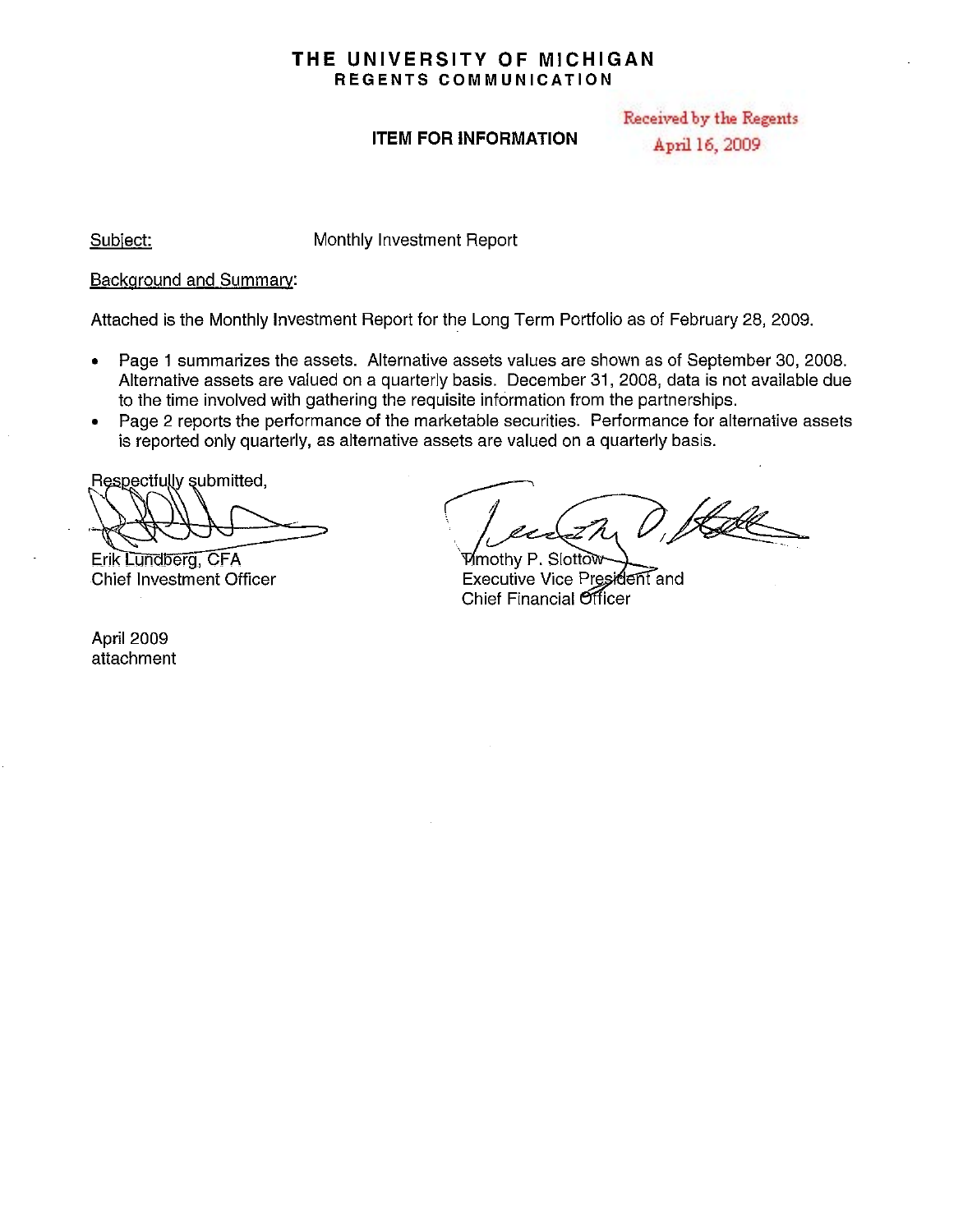## **THE UNIVERSITY OF MICHIGAN REGENTS COMMUNICATION**

## **ITEM FOR INFORMATION**

Received by the Regents April 16, 2009

Subject:

Monthly Investment Report

#### Background and Summary:

Attached is the Monthly Investment Report for the Long Term Portfolio as of February 28, 2009.

- Page 1 summarizes the assets. Alternative assets values are shown as of September 30, 2008. Alternative assets are valued on a quarterly basis. December 31,2008, data is not availabie due to the time involved with gathering the requisite information from the partnerships.
- Page 2 reports the performance of the marketable securities. Performance for alternative assets is reported only quarterly, as alternative assets are valued on a quarterly basis.

Respectfully submitted,

Erik Lundberg, CFA Chief Investment Officer

April 2009 attachment

Vinothy P. Siotto !<br>\*\*\*\*

Executive Vice President and Chief Financial Officer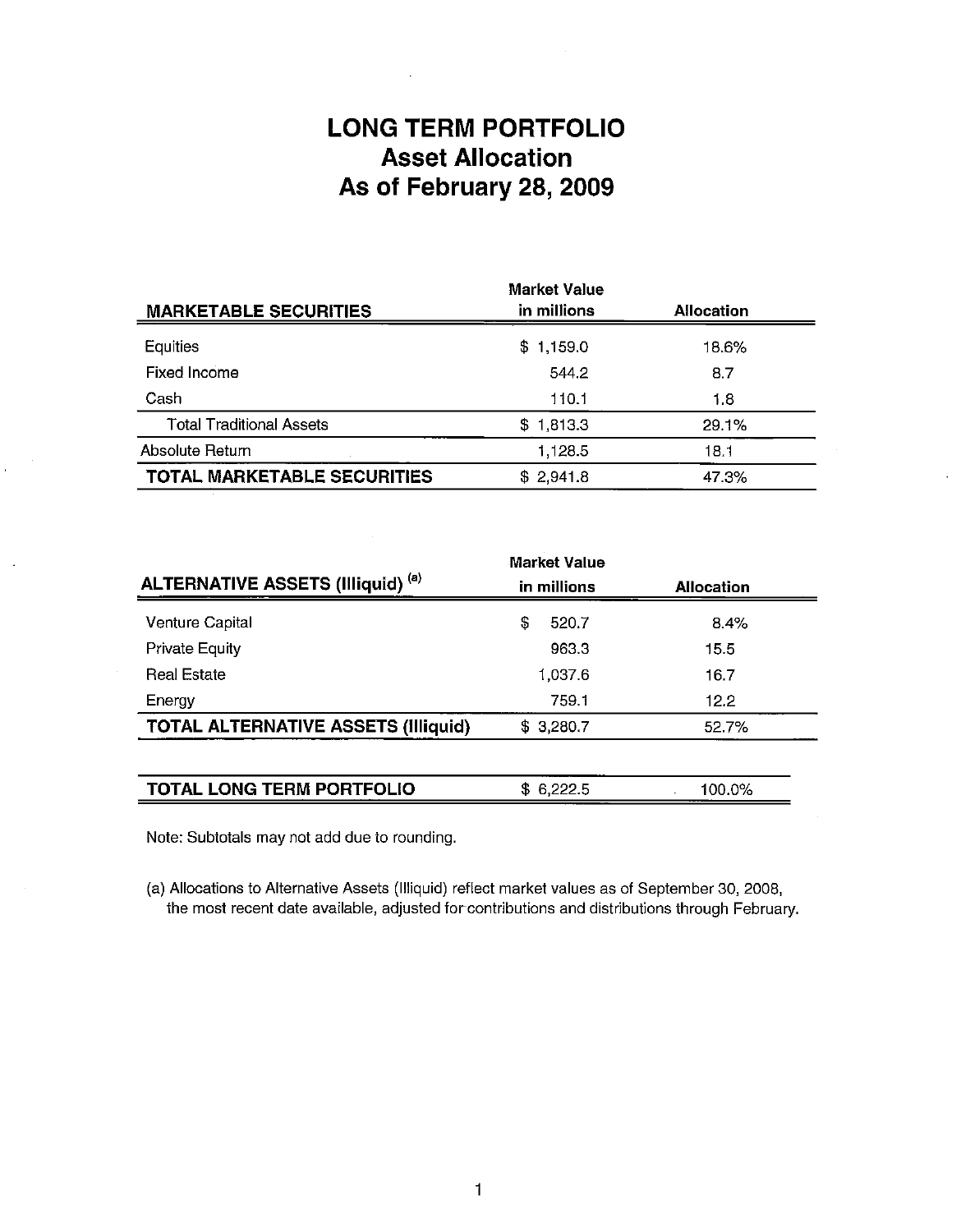## **LONG TERM PORTFOLIO Asset Allocation As of February 28, 2009**

|                                 | <b>Market Value</b> |                   |  |
|---------------------------------|---------------------|-------------------|--|
| <b>MARKETABLE SECURITIES</b>    | in millions         | <b>Allocation</b> |  |
| Equities                        | \$1,159.0           | 18.6%             |  |
| Fixed Income                    | 544.2               | 8.7               |  |
| Cash                            | 110.1               | 1.8               |  |
| <b>Total Traditional Assets</b> | \$1,813.3           | 29.1%             |  |
| Absolute Return                 | 1,128.5             | 18.1              |  |
| TOTAL MARKETABLE SECURITIES     | \$2,941.8           | 47.3%             |  |

|                                            | <b>Market Value</b> |                   |  |
|--------------------------------------------|---------------------|-------------------|--|
| <b>ALTERNATIVE ASSETS (Illiquid) (a)</b>   | in millions         | <b>Allocation</b> |  |
| <b>Venture Capital</b>                     | \$<br>520.7         | 8.4%              |  |
| Private Equity                             | 963.3               | 15.5              |  |
| <b>Real Estate</b>                         | 1,037.6             | 16.7              |  |
| Energy                                     | 759.1               | 12.2              |  |
| <b>TOTAL ALTERNATIVE ASSETS (Illiquid)</b> | \$3,280.7           | 52.7%             |  |
|                                            |                     |                   |  |
| <b>TOTAL LONG TERM PORTFOLIO</b>           | \$6,222.5           | 100.0%            |  |

Note: Subtotals may not add due to rounding.

(a) Allocations to Alternative Assets (Illiquid) reflect market values as of September 30, 2008, the most recent date available, adjusted forcontributions and distributions through February.